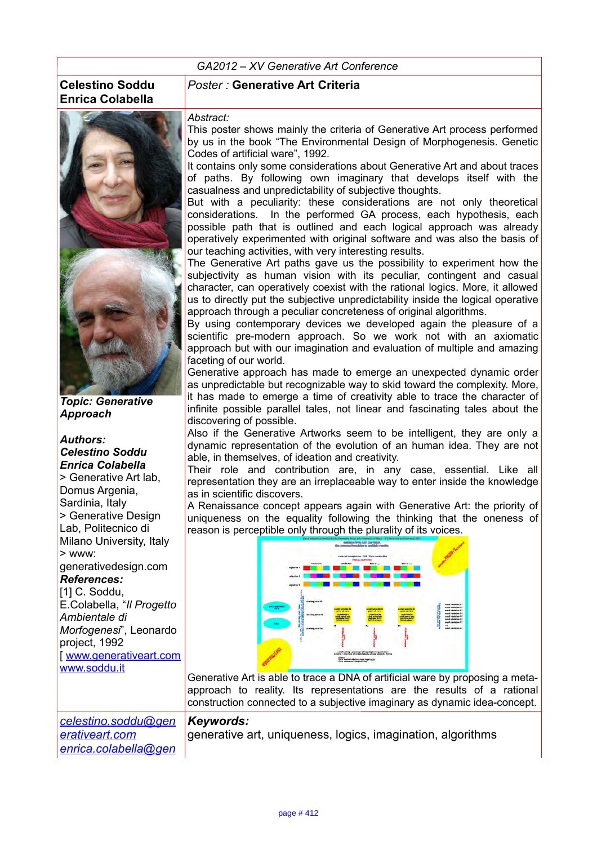## **Celestino Soddu Enrica Colabella**



*Topic: Generative Approach*

*Authors: Celestino Soddu Enrica Colabella* > Generative Art lab, Domus Argenia. Sardinia, Italy > Generative Design Lab, Politecnico di Milano University, Italy > www: generativedesign.com *References:* [1] C. Soddu, E.Colabella, "*Il Progetto Ambientale di Morfogenesi*", Leonardo project, 1992 [ [www.generativeart.com](http://www.generativeart.com/)

www.soddu.it

*[erativeart.com](mailto:celestino.soddu@generativeart.com)*

*[celestino.soddu@gen](mailto:celestino.soddu@generativeart.com)*

*[enrica.colabella@gen](mailto:enrica.colabella@generativeart.com)*

## *Poster :* **Generative Art Criteria**

## *Abstract:*

This poster shows mainly the criteria of Generative Art process performed by us in the book "The Environmental Design of Morphogenesis. Genetic Codes of artificial ware", 1992.

It contains only some considerations about Generative Art and about traces of paths. By following own imaginary that develops itself with the casualness and unpredictability of subjective thoughts.

But with a peculiarity: these considerations are not only theoretical considerations. In the performed GA process, each hypothesis, each possible path that is outlined and each logical approach was already operatively experimented with original software and was also the basis of our teaching activities, with very interesting results.

The Generative Art paths gave us the possibility to experiment how the subjectivity as human vision with its peculiar, contingent and casual character, can operatively coexist with the rational logics. More, it allowed us to directly put the subjective unpredictability inside the logical operative approach through a peculiar concreteness of original algorithms.

By using contemporary devices we developed again the pleasure of a scientific pre-modern approach. So we work not with an axiomatic approach but with our imagination and evaluation of multiple and amazing faceting of our world.

Generative approach has made to emerge an unexpected dynamic order as unpredictable but recognizable way to skid toward the complexity. More, it has made to emerge a time of creativity able to trace the character of infinite possible parallel tales, not linear and fascinating tales about the discovering of possible.

Also if the Generative Artworks seem to be intelligent, they are only a dynamic representation of the evolution of an human idea. They are not able, in themselves, of ideation and creativity.

Their role and contribution are, in any case, essential. Like all representation they are an irreplaceable way to enter inside the knowledge as in scientific discovers.

A Renaissance concept appears again with Generative Art: the priority of uniqueness on the equality following the thinking that the oneness of reason is perceptible only through the plurality of its voices.



Generative Art is able to trace a DNA of artificial ware by proposing a metaapproach to reality. Its representations are the results of a rational construction connected to a subjective imaginary as dynamic idea-concept.

## *Keywords:*

generative art, uniqueness, logics, imagination, algorithms